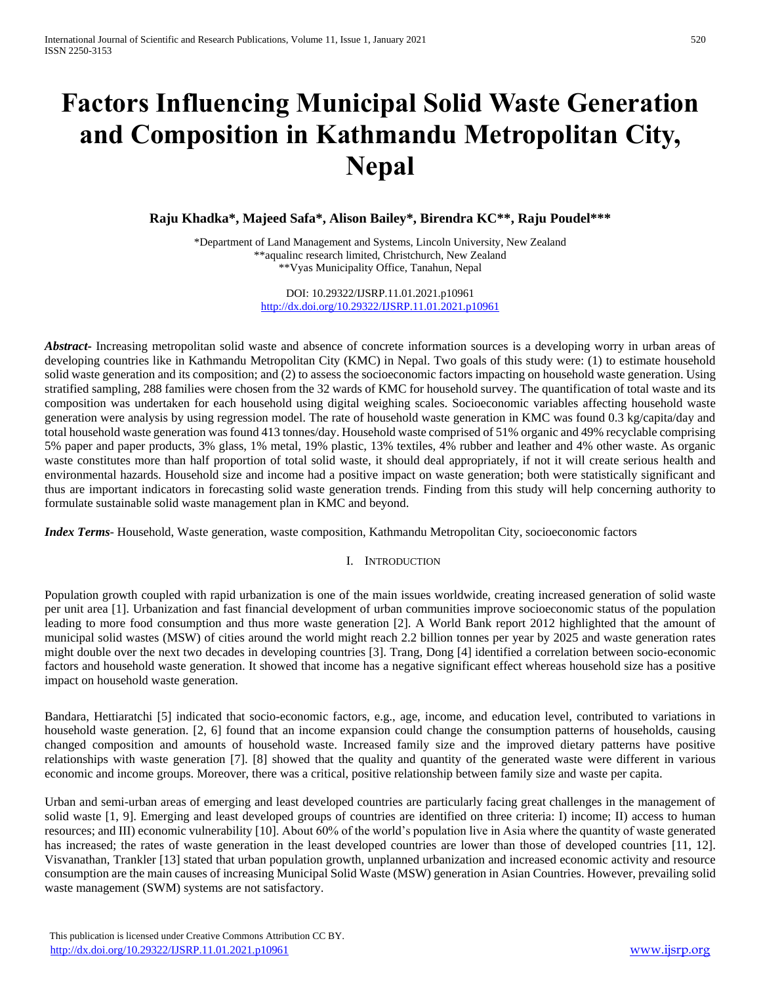# **Factors Influencing Municipal Solid Waste Generation and Composition in Kathmandu Metropolitan City, Nepal**

**Raju Khadka\*, Majeed Safa\*, Alison Bailey\*, Birendra KC\*\*, Raju Poudel\*\*\***

\*Department of Land Management and Systems, Lincoln University, New Zealand \*\*aqualinc research limited, Christchurch, New Zealand \*\*Vyas Municipality Office, Tanahun, Nepal

> DOI: 10.29322/IJSRP.11.01.2021.p10961 <http://dx.doi.org/10.29322/IJSRP.11.01.2021.p10961>

*Abstract***-** Increasing metropolitan solid waste and absence of concrete information sources is a developing worry in urban areas of developing countries like in Kathmandu Metropolitan City (KMC) in Nepal. Two goals of this study were: (1) to estimate household solid waste generation and its composition; and (2) to assess the socioeconomic factors impacting on household waste generation. Using stratified sampling, 288 families were chosen from the 32 wards of KMC for household survey. The quantification of total waste and its composition was undertaken for each household using digital weighing scales. Socioeconomic variables affecting household waste generation were analysis by using regression model. The rate of household waste generation in KMC was found 0.3 kg/capita/day and total household waste generation was found 413 tonnes/day. Household waste comprised of 51% organic and 49% recyclable comprising 5% paper and paper products, 3% glass, 1% metal, 19% plastic, 13% textiles, 4% rubber and leather and 4% other waste. As organic waste constitutes more than half proportion of total solid waste, it should deal appropriately, if not it will create serious health and environmental hazards. Household size and income had a positive impact on waste generation; both were statistically significant and thus are important indicators in forecasting solid waste generation trends. Finding from this study will help concerning authority to formulate sustainable solid waste management plan in KMC and beyond.

*Index Terms*- Household, Waste generation, waste composition, Kathmandu Metropolitan City, socioeconomic factors

# I. INTRODUCTION

Population growth coupled with rapid urbanization is one of the main issues worldwide, creating increased generation of solid waste per unit area [1]. Urbanization and fast financial development of urban communities improve socioeconomic status of the population leading to more food consumption and thus more waste generation [2]. A World Bank report 2012 highlighted that the amount of municipal solid wastes (MSW) of cities around the world might reach 2.2 billion tonnes per year by 2025 and waste generation rates might double over the next two decades in developing countries [3]. Trang, Dong [4] identified a correlation between socio-economic factors and household waste generation. It showed that income has a negative significant effect whereas household size has a positive impact on household waste generation.

Bandara, Hettiaratchi [5] indicated that socio-economic factors, e.g., age, income, and education level, contributed to variations in household waste generation. [2, 6] found that an income expansion could change the consumption patterns of households, causing changed composition and amounts of household waste. Increased family size and the improved dietary patterns have positive relationships with waste generation [7]. [8] showed that the quality and quantity of the generated waste were different in various economic and income groups. Moreover, there was a critical, positive relationship between family size and waste per capita.

Urban and semi-urban areas of emerging and least developed countries are particularly facing great challenges in the management of solid waste [1, 9]. Emerging and least developed groups of countries are identified on three criteria: I) income; II) access to human resources; and III) economic vulnerability [10]. About 60% of the world's population live in Asia where the quantity of waste generated has increased; the rates of waste generation in the least developed countries are lower than those of developed countries [11, 12]. Visvanathan, Trankler [13] stated that urban population growth, unplanned urbanization and increased economic activity and resource consumption are the main causes of increasing Municipal Solid Waste (MSW) generation in Asian Countries. However, prevailing solid waste management (SWM) systems are not satisfactory.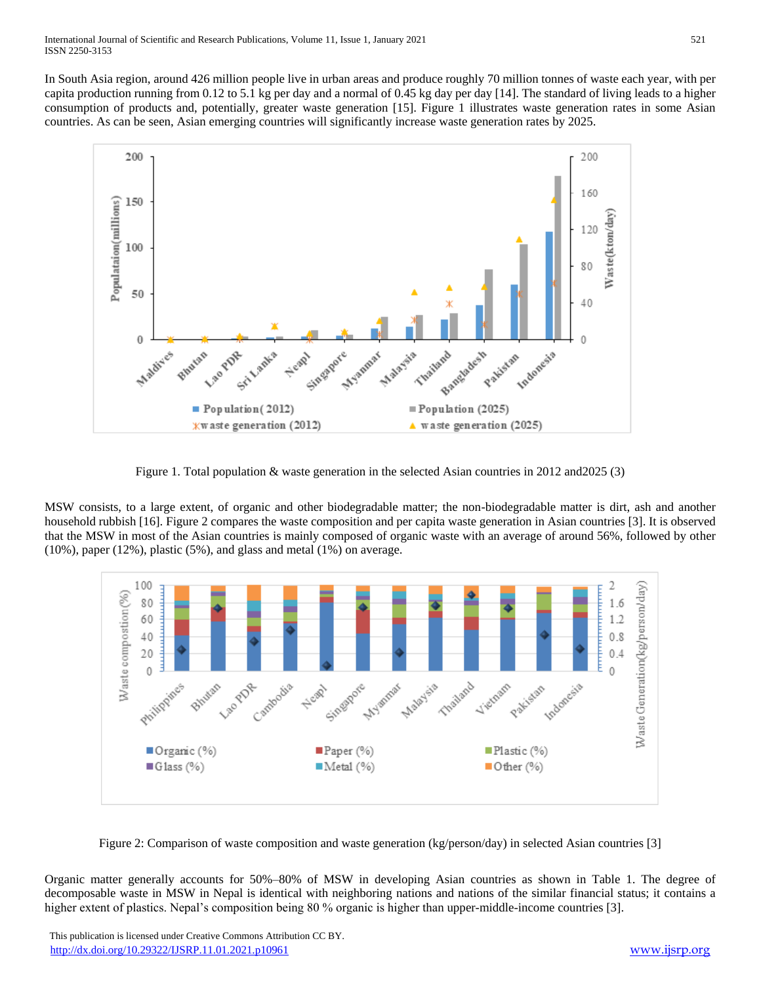In South Asia region, around 426 million people live in urban areas and produce roughly 70 million tonnes of waste each year, with per capita production running from 0.12 to 5.1 kg per day and a normal of 0.45 kg day per day [14]. The standard of living leads to a higher consumption of products and, potentially, greater waste generation [15]. Figure 1 illustrates waste generation rates in some Asian countries. As can be seen, Asian emerging countries will significantly increase waste generation rates by 2025.



Figure 1. Total population & waste generation in the selected Asian countries in 2012 and2025 (3)

MSW consists, to a large extent, of organic and other biodegradable matter; the non-biodegradable matter is dirt, ash and another household rubbish [16]. Figure 2 compares the waste composition and per capita waste generation in Asian countries [3]. It is observed that the MSW in most of the Asian countries is mainly composed of organic waste with an average of around 56%, followed by other (10%), paper (12%), plastic (5%), and glass and metal (1%) on average.



Figure 2: Comparison of waste composition and waste generation (kg/person/day) in selected Asian countries [3]

Organic matter generally accounts for 50%–80% of MSW in developing Asian countries as shown in Table 1. The degree of decomposable waste in MSW in Nepal is identical with neighboring nations and nations of the similar financial status; it contains a higher extent of plastics. Nepal's composition being 80 % organic is higher than upper-middle-income countries [3].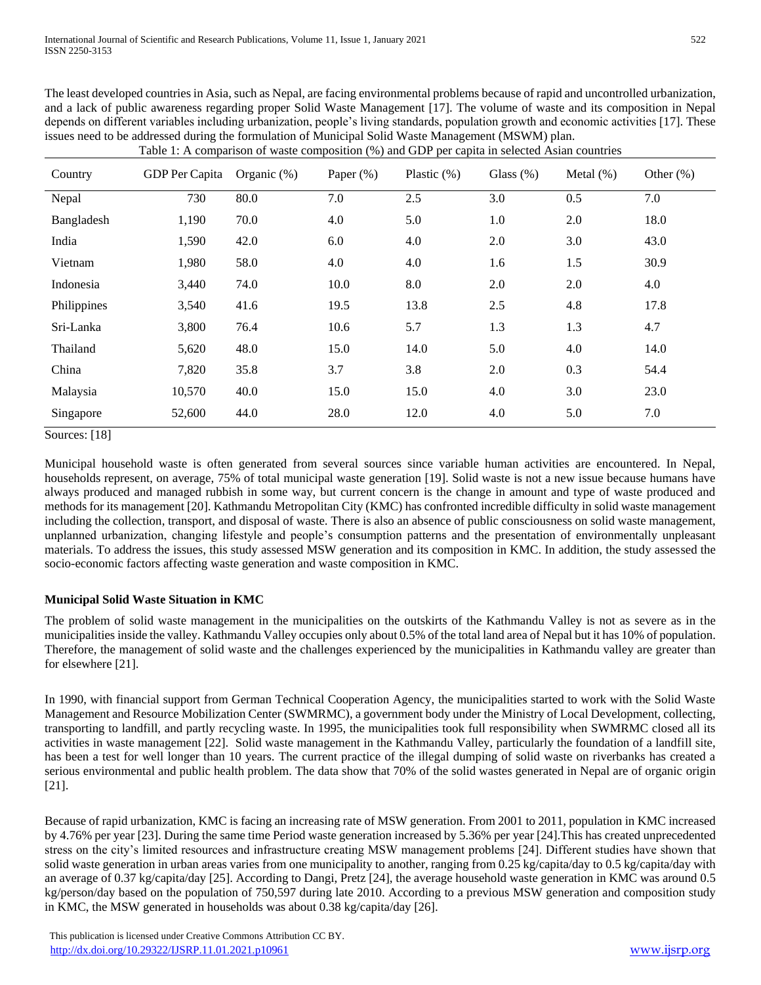The least developed countries in Asia, such as Nepal, are facing environmental problems because of rapid and uncontrolled urbanization, and a lack of public awareness regarding proper Solid Waste Management [17]. The volume of waste and its composition in Nepal depends on different variables including urbanization, people's living standards, population growth and economic activities [17]. These issues need to be addressed during the formulation of Municipal Solid Waste Management (MSWM) plan.

| Country     | GDP Per Capita | Organic $(\%)$ | Paper $(\%)$ | Plastic $(\%)$ | Glass $(\%)$ | Metal $(\%)$ | Other $(\%)$ |
|-------------|----------------|----------------|--------------|----------------|--------------|--------------|--------------|
| Nepal       | 730            | 80.0           | 7.0          | 2.5            | 3.0          | 0.5          | 7.0          |
| Bangladesh  | 1,190          | 70.0           | 4.0          | 5.0            | 1.0          | 2.0          | 18.0         |
| India       | 1,590          | 42.0           | 6.0          | 4.0            | 2.0          | 3.0          | 43.0         |
| Vietnam     | 1,980          | 58.0           | 4.0          | 4.0            | 1.6          | 1.5          | 30.9         |
| Indonesia   | 3,440          | 74.0           | 10.0         | 8.0            | 2.0          | 2.0          | 4.0          |
| Philippines | 3,540          | 41.6           | 19.5         | 13.8           | 2.5          | 4.8          | 17.8         |
| Sri-Lanka   | 3,800          | 76.4           | 10.6         | 5.7            | 1.3          | 1.3          | 4.7          |
| Thailand    | 5,620          | 48.0           | 15.0         | 14.0           | 5.0          | 4.0          | 14.0         |
| China       | 7,820          | 35.8           | 3.7          | 3.8            | 2.0          | 0.3          | 54.4         |
| Malaysia    | 10,570         | 40.0           | 15.0         | 15.0           | 4.0          | 3.0          | 23.0         |
| Singapore   | 52,600         | 44.0           | 28.0         | 12.0           | 4.0          | 5.0          | 7.0          |

Table 1: A comparison of waste composition (%) and GDP per capita in selected Asian countries

Sources: [18]

Municipal household waste is often generated from several sources since variable human activities are encountered. In Nepal, households represent, on average, 75% of total municipal waste generation [19]. Solid waste is not a new issue because humans have always produced and managed rubbish in some way, but current concern is the change in amount and type of waste produced and methods for its management [20]. Kathmandu Metropolitan City (KMC) has confronted incredible difficulty in solid waste management including the collection, transport, and disposal of waste. There is also an absence of public consciousness on solid waste management, unplanned urbanization, changing lifestyle and people's consumption patterns and the presentation of environmentally unpleasant materials. To address the issues, this study assessed MSW generation and its composition in KMC. In addition, the study assessed the socio-economic factors affecting waste generation and waste composition in KMC.

## **Municipal Solid Waste Situation in KMC**

The problem of solid waste management in the municipalities on the outskirts of the Kathmandu Valley is not as severe as in the municipalities inside the valley. Kathmandu Valley occupies only about 0.5% of the total land area of Nepal but it has 10% of population. Therefore, the management of solid waste and the challenges experienced by the municipalities in Kathmandu valley are greater than for elsewhere [21].

In 1990, with financial support from German Technical Cooperation Agency, the municipalities started to work with the Solid Waste Management and Resource Mobilization Center (SWMRMC), a government body under the Ministry of Local Development, collecting, transporting to landfill, and partly recycling waste. In 1995, the municipalities took full responsibility when SWMRMC closed all its activities in waste management [22]. Solid waste management in the Kathmandu Valley, particularly the foundation of a landfill site, has been a test for well longer than 10 years. The current practice of the illegal dumping of solid waste on riverbanks has created a serious environmental and public health problem. The data show that 70% of the solid wastes generated in Nepal are of organic origin [21].

Because of rapid urbanization, KMC is facing an increasing rate of MSW generation. From 2001 to 2011, population in KMC increased by 4.76% per year [23]. During the same time Period waste generation increased by 5.36% per year [24].This has created unprecedented stress on the city's limited resources and infrastructure creating MSW management problems [24]. Different studies have shown that solid waste generation in urban areas varies from one municipality to another, ranging from 0.25 kg/capita/day to 0.5 kg/capita/day with an average of 0.37 kg/capita/day [25]. According to Dangi, Pretz [24], the average household waste generation in KMC was around 0.5 kg/person/day based on the population of 750,597 during late 2010. According to a previous MSW generation and composition study in KMC, the MSW generated in households was about 0.38 kg/capita/day [26].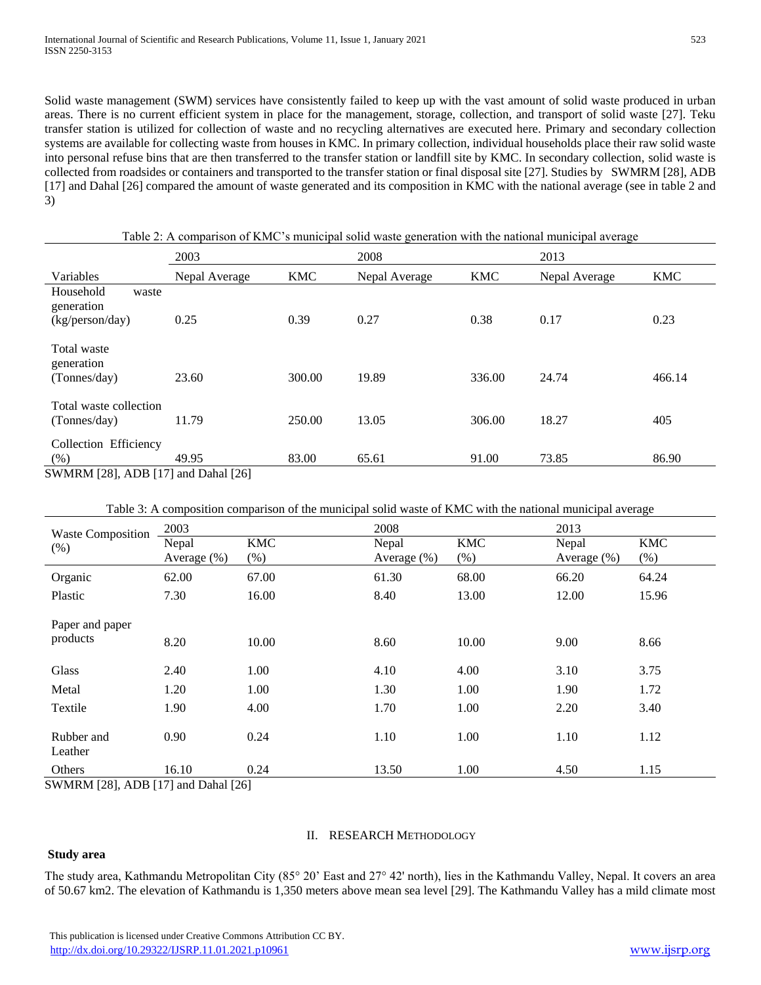Solid waste management (SWM) services have consistently failed to keep up with the vast amount of solid waste produced in urban areas. There is no current efficient system in place for the management, storage, collection, and transport of solid waste [27]. Teku transfer station is utilized for collection of waste and no recycling alternatives are executed here. Primary and secondary collection systems are available for collecting waste from houses in KMC. In primary collection, individual households place their raw solid waste into personal refuse bins that are then transferred to the transfer station or landfill site by KMC. In secondary collection, solid waste is collected from roadsides or containers and transported to the transfer station or final disposal site [27]. Studies by SWMRM [28], ADB [17] and Dahal [26] compared the amount of waste generated and its composition in KMC with the national average (see in table 2 and 3)

|                                           |                    |            | $\circ$       |            | $\sqrt{2}$    |            |
|-------------------------------------------|--------------------|------------|---------------|------------|---------------|------------|
|                                           | 2003               |            | 2008          |            | 2013          |            |
| Variables                                 | Nepal Average      | <b>KMC</b> | Nepal Average | <b>KMC</b> | Nepal Average | <b>KMC</b> |
| Household<br>waste<br>generation          |                    |            |               |            |               |            |
| (kg/person/day)                           | 0.25               | 0.39       | 0.27          | 0.38       | 0.17          | 0.23       |
| Total waste<br>generation<br>(Tonnes/day) | 23.60              | 300.00     | 19.89         | 336.00     | 24.74         | 466.14     |
| Total waste collection<br>(Tonnes/day)    | 11.79              | 250.00     | 13.05         | 306.00     | 18.27         | 405        |
| Collection Efficiency<br>(% )             | 49.95<br>_ _ _ _ _ | 83.00      | 65.61         | 91.00      | 73.85         | 86.90      |

Table 2: A comparison of KMC's municipal solid waste generation with the national municipal average

SWMRM [28], ADB [17] and Dahal [26]

Table 3: A composition comparison of the municipal solid waste of KMC with the national municipal average

| <b>Waste Composition</b>    | 2003                     |                      | 2008                 |                      | 2013                    |                      |
|-----------------------------|--------------------------|----------------------|----------------------|----------------------|-------------------------|----------------------|
| (% )                        | Nepal<br>Average $(\% )$ | <b>KMC</b><br>$(\%)$ | Nepal<br>Average (%) | <b>KMC</b><br>$(\%)$ | Nepal<br>Average $(\%)$ | <b>KMC</b><br>$(\%)$ |
| Organic                     | 62.00                    | 67.00                | 61.30                | 68.00                | 66.20                   | 64.24                |
| Plastic                     | 7.30                     | 16.00                | 8.40                 | 13.00                | 12.00                   | 15.96                |
| Paper and paper<br>products | 8.20                     | 10.00                | 8.60                 | 10.00                | 9.00                    | 8.66                 |
| Glass                       | 2.40                     | 1.00                 | 4.10                 | 4.00                 | 3.10                    | 3.75                 |
| Metal                       | 1.20                     | 1.00                 | 1.30                 | 1.00                 | 1.90                    | 1.72                 |
| Textile                     | 1.90                     | 4.00                 | 1.70                 | 1.00                 | 2.20                    | 3.40                 |
| Rubber and<br>Leather       | 0.90                     | 0.24                 | 1.10                 | 1.00                 | 1.10                    | 1.12                 |
| Others                      | 16.10                    | 0.24                 | 13.50                | 1.00                 | 4.50                    | 1.15                 |

SWMRM [28], ADB [17] and Dahal [26]

## II. RESEARCH METHODOLOGY

### **Study area**

The study area, Kathmandu Metropolitan City (85° 20' East and 27° 42' north), lies in the Kathmandu Valley, Nepal. It covers an area of 50.67 km2. The elevation of Kathmandu is 1,350 meters above mean sea level [29]. The Kathmandu Valley has a mild climate most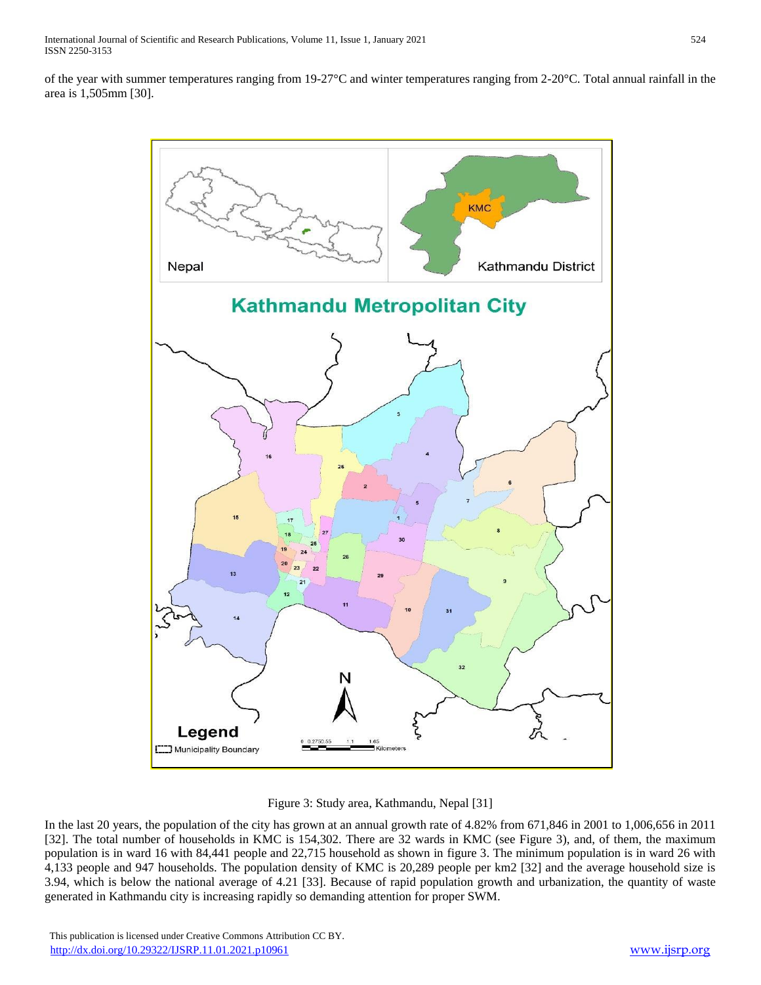of the year with summer temperatures ranging from 19-27°C and winter temperatures ranging from 2-20°C. Total annual rainfall in the area is 1,505mm [30].





In the last 20 years, the population of the city has grown at an annual growth rate of 4.82% from 671,846 in 2001 to 1,006,656 in 2011 [32]. The total number of households in KMC is 154,302. There are 32 wards in KMC (see Figure 3), and, of them, the maximum population is in ward 16 with 84,441 people and 22,715 household as shown in figure 3. The minimum population is in ward 26 with 4,133 people and 947 households. The population density of KMC is 20,289 people per km2 [32] and the average household size is 3.94, which is below the national average of 4.21 [33]. Because of rapid population growth and urbanization, the quantity of waste generated in Kathmandu city is increasing rapidly so demanding attention for proper SWM.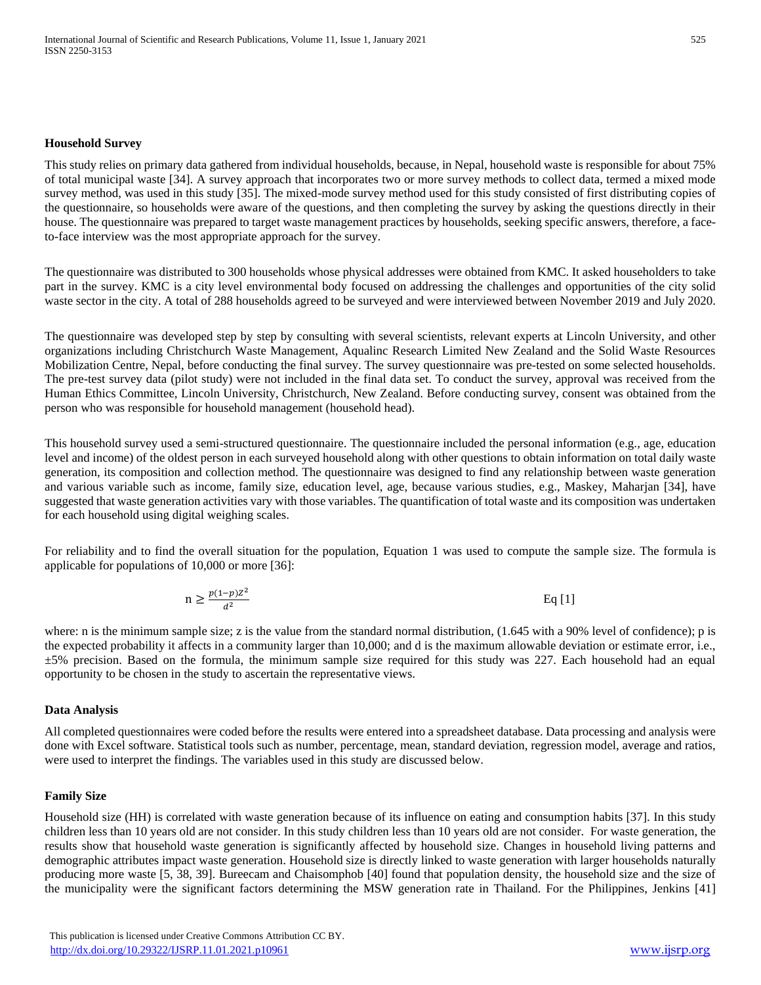#### **Household Survey**

This study relies on primary data gathered from individual households, because, in Nepal, household waste is responsible for about 75% of total municipal waste [34]. A survey approach that incorporates two or more survey methods to collect data, termed a mixed mode survey method, was used in this study [35]. The mixed-mode survey method used for this study consisted of first distributing copies of the questionnaire, so households were aware of the questions, and then completing the survey by asking the questions directly in their house. The questionnaire was prepared to target waste management practices by households, seeking specific answers, therefore, a faceto-face interview was the most appropriate approach for the survey.

The questionnaire was distributed to 300 households whose physical addresses were obtained from KMC. It asked householders to take part in the survey. KMC is a city level environmental body focused on addressing the challenges and opportunities of the city solid waste sector in the city. A total of 288 households agreed to be surveyed and were interviewed between November 2019 and July 2020.

The questionnaire was developed step by step by consulting with several scientists, relevant experts at Lincoln University, and other organizations including Christchurch Waste Management, Aqualinc Research Limited New Zealand and the Solid Waste Resources Mobilization Centre, Nepal, before conducting the final survey. The survey questionnaire was pre-tested on some selected households. The pre-test survey data (pilot study) were not included in the final data set. To conduct the survey, approval was received from the Human Ethics Committee, Lincoln University, Christchurch, New Zealand. Before conducting survey, consent was obtained from the person who was responsible for household management (household head).

This household survey used a semi-structured questionnaire. The questionnaire included the personal information (e.g., age, education level and income) of the oldest person in each surveyed household along with other questions to obtain information on total daily waste generation, its composition and collection method. The questionnaire was designed to find any relationship between waste generation and various variable such as income, family size, education level, age, because various studies, e.g., Maskey, Maharjan [34], have suggested that waste generation activities vary with those variables. The quantification of total waste and its composition was undertaken for each household using digital weighing scales.

For reliability and to find the overall situation for the population, Equation 1 was used to compute the sample size. The formula is applicable for populations of 10,000 or more [36]:

$$
n \ge \frac{p(1-p)Z^2}{d^2} \tag{Eq [1]}
$$

where: n is the minimum sample size; z is the value from the standard normal distribution,  $(1.645 \text{ with a } 90\% \text{ level of confidence});$  p is the expected probability it affects in a community larger than 10,000; and d is the maximum allowable deviation or estimate error, i.e., ±5% precision. Based on the formula, the minimum sample size required for this study was 227. Each household had an equal opportunity to be chosen in the study to ascertain the representative views.

#### **Data Analysis**

All completed questionnaires were coded before the results were entered into a spreadsheet database. Data processing and analysis were done with Excel software. Statistical tools such as number, percentage, mean, standard deviation, regression model, average and ratios, were used to interpret the findings. The variables used in this study are discussed below.

#### **Family Size**

Household size (HH) is correlated with waste generation because of its influence on eating and consumption habits [37]. In this study children less than 10 years old are not consider. In this study children less than 10 years old are not consider. For waste generation, the results show that household waste generation is significantly affected by household size. Changes in household living patterns and demographic attributes impact waste generation. Household size is directly linked to waste generation with larger households naturally producing more waste [5, 38, 39]. Bureecam and Chaisomphob [40] found that population density, the household size and the size of the municipality were the significant factors determining the MSW generation rate in Thailand. For the Philippines, Jenkins [41]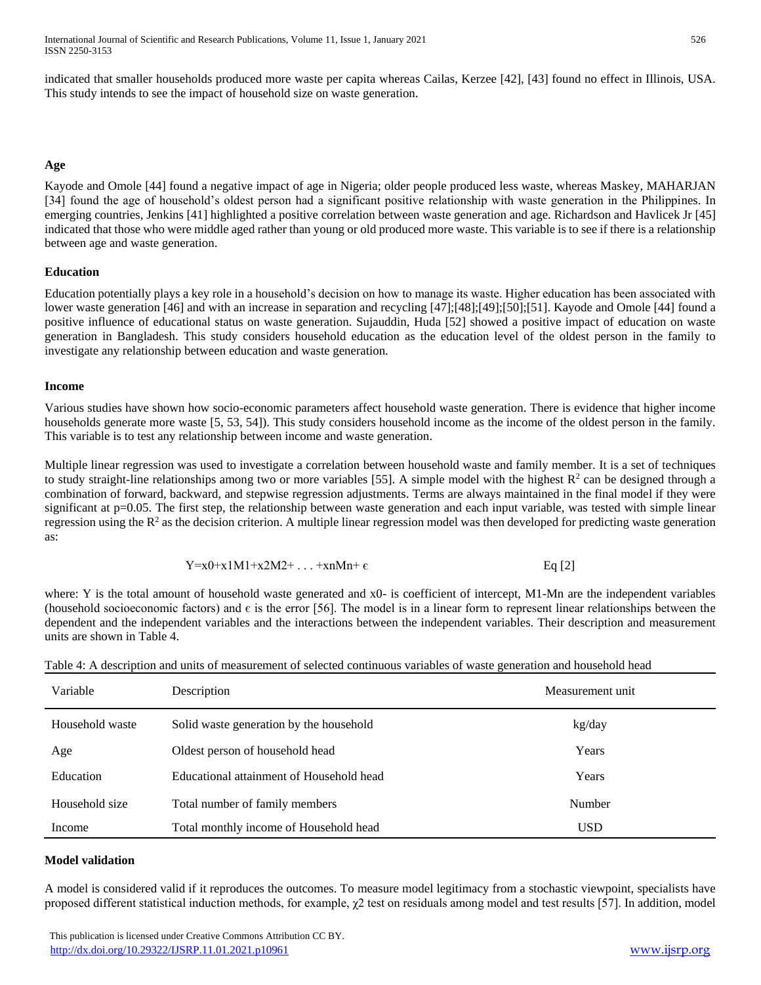International Journal of Scientific and Research Publications, Volume 11, Issue 1, January 2021 526 ISSN 2250-3153

indicated that smaller households produced more waste per capita whereas Cailas, Kerzee [42], [43] found no effect in Illinois, USA. This study intends to see the impact of household size on waste generation.

## **Age**

Kayode and Omole [44] found a negative impact of age in Nigeria; older people produced less waste, whereas Maskey, MAHARJAN [34] found the age of household's oldest person had a significant positive relationship with waste generation in the Philippines. In emerging countries, Jenkins [41] highlighted a positive correlation between waste generation and age. Richardson and Havlicek Jr [45] indicated that those who were middle aged rather than young or old produced more waste. This variable is to see if there is a relationship between age and waste generation.

#### **Education**

Education potentially plays a key role in a household's decision on how to manage its waste. Higher education has been associated with lower waste generation [46] and with an increase in separation and recycling [47];[48];[49];[50];[51]. Kayode and Omole [44] found a positive influence of educational status on waste generation. Sujauddin, Huda [52] showed a positive impact of education on waste generation in Bangladesh. This study considers household education as the education level of the oldest person in the family to investigate any relationship between education and waste generation.

#### **Income**

Various studies have shown how socio-economic parameters affect household waste generation. There is evidence that higher income households generate more waste [5, 53, 54]). This study considers household income as the income of the oldest person in the family. This variable is to test any relationship between income and waste generation.

Multiple linear regression was used to investigate a correlation between household waste and family member. It is a set of techniques to study straight-line relationships among two or more variables [55]. A simple model with the highest  $R^2$  can be designed through a combination of forward, backward, and stepwise regression adjustments. Terms are always maintained in the final model if they were significant at p=0.05. The first step, the relationship between waste generation and each input variable, was tested with simple linear regression using the  $R^2$  as the decision criterion. A multiple linear regression model was then developed for predicting waste generation as:

$$
Y=x0+x1M1+x2M2+\ldots+xnMn+\varepsilon
$$
 Eq [2]

where: Y is the total amount of household waste generated and x0- is coefficient of intercept, M1-Mn are the independent variables (household socioeconomic factors) and  $\epsilon$  is the error [56]. The model is in a linear form to represent linear relationships between the dependent and the independent variables and the interactions between the independent variables. Their description and measurement units are shown in Table 4.

| Variable        | Description                              | Measurement unit |
|-----------------|------------------------------------------|------------------|
| Household waste | Solid waste generation by the household  | kg/day           |
| Age             | Oldest person of household head          | Years            |
| Education       | Educational attainment of Household head | Years            |
| Household size  | Total number of family members           | Number           |
| Income          | Total monthly income of Household head   | <b>USD</b>       |

| Table 4: A description and units of measurement of selected continuous variables of waste generation and household head |  |  |
|-------------------------------------------------------------------------------------------------------------------------|--|--|
|                                                                                                                         |  |  |

#### **Model validation**

A model is considered valid if it reproduces the outcomes. To measure model legitimacy from a stochastic viewpoint, specialists have proposed different statistical induction methods, for example, χ2 test on residuals among model and test results [57]. In addition, model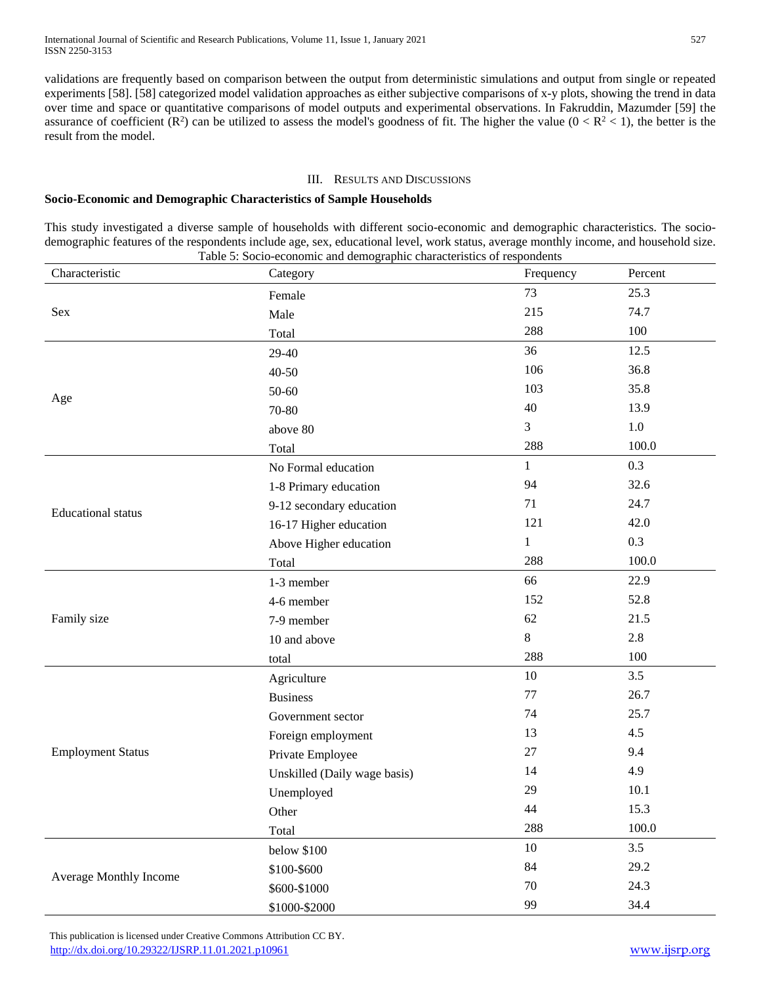validations are frequently based on comparison between the output from deterministic simulations and output from single or repeated experiments [58]. [58] categorized model validation approaches as either subjective comparisons of x-y plots, showing the trend in data over time and space or quantitative comparisons of model outputs and experimental observations. In Fakruddin, Mazumder [59] the assurance of coefficient ( $\mathbb{R}^2$ ) can be utilized to assess the model's goodness of fit. The higher the value ( $0 < \mathbb{R}^2 < 1$ ), the better is the result from the model.

#### III. RESULTS AND DISCUSSIONS

## **Socio-Economic and Demographic Characteristics of Sample Households**

This study investigated a diverse sample of households with different socio-economic and demographic characteristics. The sociodemographic features of the respondents include age, sex, educational level, work status, average monthly income, and household size. Table 5: Socio-economic and demographic characteristics of respondents

| Characteristic                                                                                               | Category                     | Frequency | Percent |
|--------------------------------------------------------------------------------------------------------------|------------------------------|-----------|---------|
|                                                                                                              | Female                       | 73        | 25.3    |
| Sex<br>Age<br><b>Educational</b> status<br>Family size<br><b>Employment Status</b><br>Average Monthly Income | Male                         | 215       | 74.7    |
|                                                                                                              | Total                        | 288       | 100     |
|                                                                                                              | 29-40                        | 36        | 12.5    |
|                                                                                                              | 40-50                        | 106       | 36.8    |
|                                                                                                              | 50-60                        | 103       | 35.8    |
|                                                                                                              | 70-80                        | 40        | 13.9    |
|                                                                                                              | above 80                     | 3         | $1.0\,$ |
|                                                                                                              | Total                        | 288       | 100.0   |
|                                                                                                              | No Formal education          | 1         | 0.3     |
|                                                                                                              | 1-8 Primary education        | 94        | 32.6    |
|                                                                                                              | 9-12 secondary education     | 71        | 24.7    |
|                                                                                                              | 16-17 Higher education       | 121       | 42.0    |
|                                                                                                              | Above Higher education       | 1         | 0.3     |
|                                                                                                              | Total                        | 288       | 100.0   |
|                                                                                                              | 1-3 member                   | 66        | 22.9    |
|                                                                                                              | 4-6 member                   | 152       | 52.8    |
|                                                                                                              | 7-9 member                   | 62        | 21.5    |
|                                                                                                              | 10 and above                 | 8         | 2.8     |
|                                                                                                              | total                        | 288       | 100     |
|                                                                                                              | Agriculture                  | $10\,$    | 3.5     |
|                                                                                                              | <b>Business</b>              | 77        | 26.7    |
|                                                                                                              | Government sector            | 74        | 25.7    |
|                                                                                                              | Foreign employment           | 13        | 4.5     |
|                                                                                                              | Private Employee             | 27        | 9.4     |
|                                                                                                              | Unskilled (Daily wage basis) | 14        | 4.9     |
|                                                                                                              | Unemployed                   | 29        | 10.1    |
|                                                                                                              | Other                        | 44        | 15.3    |
|                                                                                                              | Total                        | 288       | 100.0   |
|                                                                                                              | below \$100                  | $10\,$    | 3.5     |
|                                                                                                              | \$100-\$600                  | $\bf 84$  | 29.2    |
|                                                                                                              | \$600-\$1000                 | $70\,$    | 24.3    |
|                                                                                                              | \$1000-\$2000                | 99        | 34.4    |

 This publication is licensed under Creative Commons Attribution CC BY. <http://dx.doi.org/10.29322/IJSRP.11.01.2021.p10961> [www.ijsrp.org](http://ijsrp.org/)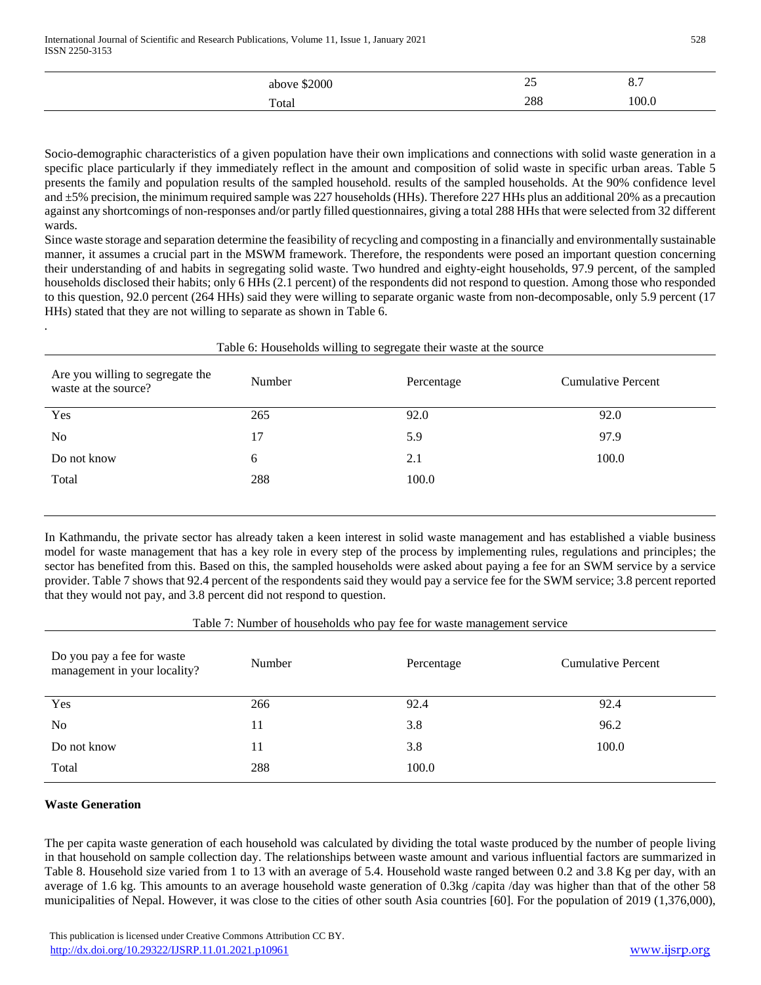|  | \$2000<br>above | $\sim$ $\sim$<br>ر_ر | O.1   |
|--|-----------------|----------------------|-------|
|  | Total           | 288                  | 100.0 |

Socio-demographic characteristics of a given population have their own implications and connections with solid waste generation in a specific place particularly if they immediately reflect in the amount and composition of solid waste in specific urban areas. Table 5 presents the family and population results of the sampled household. results of the sampled households. At the 90% confidence level and ±5% precision, the minimum required sample was 227 households (HHs). Therefore 227 HHs plus an additional 20% as a precaution against any shortcomings of non-responses and/or partly filled questionnaires, giving a total 288 HHs that were selected from 32 different wards.

Since waste storage and separation determine the feasibility of recycling and composting in a financially and environmentally sustainable manner, it assumes a crucial part in the MSWM framework. Therefore, the respondents were posed an important question concerning their understanding of and habits in segregating solid waste. Two hundred and eighty-eight households, 97.9 percent, of the sampled households disclosed their habits; only 6 HHs (2.1 percent) of the respondents did not respond to question. Among those who responded to this question, 92.0 percent (264 HHs) said they were willing to separate organic waste from non-decomposable, only 5.9 percent (17 HHs) stated that they are not willing to separate as shown in Table 6.

| Table 6: Households willing to segregate their waste at the source |        |            |                    |  |  |
|--------------------------------------------------------------------|--------|------------|--------------------|--|--|
| Are you willing to segregate the<br>waste at the source?           | Number | Percentage | Cumulative Percent |  |  |
| Yes                                                                | 265    | 92.0       | 92.0               |  |  |
| N <sub>0</sub>                                                     | 17     | 5.9        | 97.9               |  |  |
| Do not know                                                        | 6      | 2.1        | 100.0              |  |  |
| Total                                                              | 288    | 100.0      |                    |  |  |
|                                                                    |        |            |                    |  |  |

In Kathmandu, the private sector has already taken a keen interest in solid waste management and has established a viable business model for waste management that has a key role in every step of the process by implementing rules, regulations and principles; the sector has benefited from this. Based on this, the sampled households were asked about paying a fee for an SWM service by a service provider. Table 7 shows that 92.4 percent of the respondents said they would pay a service fee for the SWM service; 3.8 percent reported that they would not pay, and 3.8 percent did not respond to question.

#### Table 7: Number of households who pay fee for waste management service

| Do you pay a fee for waste<br>management in your locality? | Number | Percentage | <b>Cumulative Percent</b> |
|------------------------------------------------------------|--------|------------|---------------------------|
| Yes                                                        | 266    | 92.4       | 92.4                      |
| N <sub>0</sub>                                             | 11     | 3.8        | 96.2                      |
| Do not know                                                | 11     | 3.8        | 100.0                     |
| Total                                                      | 288    | 100.0      |                           |

## **Waste Generation**

.

The per capita waste generation of each household was calculated by dividing the total waste produced by the number of people living in that household on sample collection day. The relationships between waste amount and various influential factors are summarized in Table 8. Household size varied from 1 to 13 with an average of 5.4. Household waste ranged between 0.2 and 3.8 Kg per day, with an average of 1.6 kg. This amounts to an average household waste generation of 0.3kg /capita /day was higher than that of the other 58 municipalities of Nepal. However, it was close to the cities of other south Asia countries [60]. For the population of 2019 (1,376,000),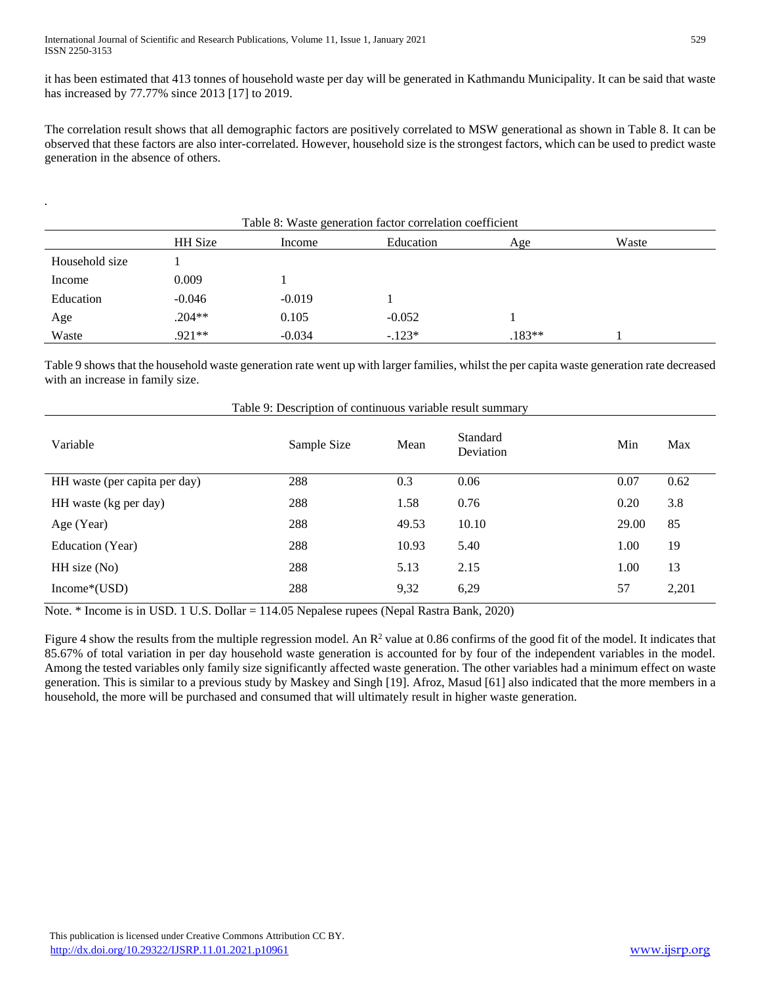.

it has been estimated that 413 tonnes of household waste per day will be generated in Kathmandu Municipality. It can be said that waste has increased by 77.77% since 2013 [17] to 2019.

The correlation result shows that all demographic factors are positively correlated to MSW generational as shown in Table 8. It can be observed that these factors are also inter-correlated. However, household size is the strongest factors, which can be used to predict waste generation in the absence of others.

| Table 8: Waste generation factor correlation coefficient |          |          |           |          |       |  |
|----------------------------------------------------------|----------|----------|-----------|----------|-------|--|
|                                                          | HH Size  | Income   | Education | Age      | Waste |  |
| Household size                                           |          |          |           |          |       |  |
| Income                                                   | 0.009    |          |           |          |       |  |
| Education                                                | $-0.046$ | $-0.019$ |           |          |       |  |
| Age                                                      | .204**   | 0.105    | $-0.052$  |          |       |  |
| Waste                                                    | .921**   | $-0.034$ | $-.123*$  | $.183**$ |       |  |

Table 9 shows that the household waste generation rate went up with larger families, whilst the per capita waste generation rate decreased with an increase in family size.

| Table 9: Description of continuous variable result summary |             |       |                       |       |       |  |
|------------------------------------------------------------|-------------|-------|-----------------------|-------|-------|--|
| Variable                                                   | Sample Size | Mean  | Standard<br>Deviation | Min   | Max   |  |
| HH waste (per capita per day)                              | 288         | 0.3   | 0.06                  | 0.07  | 0.62  |  |
| HH waste (kg per day)                                      | 288         | 1.58  | 0.76                  | 0.20  | 3.8   |  |
| Age (Year)                                                 | 288         | 49.53 | 10.10                 | 29.00 | 85    |  |
| Education (Year)                                           | 288         | 10.93 | 5.40                  | 1.00  | 19    |  |
| $HH$ size $No)$                                            | 288         | 5.13  | 2.15                  | 1.00  | 13    |  |
| $Income*(USD)$                                             | 288         | 9,32  | 6,29                  | 57    | 2,201 |  |

Note. \* Income is in USD. 1 U.S. Dollar = 114.05 Nepalese rupees (Nepal Rastra Bank, 2020)

Figure 4 show the results from the multiple regression model. An  $\mathbb{R}^2$  value at 0.86 confirms of the good fit of the model. It indicates that 85.67% of total variation in per day household waste generation is accounted for by four of the independent variables in the model. Among the tested variables only family size significantly affected waste generation. The other variables had a minimum effect on waste generation. This is similar to a previous study by Maskey and Singh [19]. Afroz, Masud [61] also indicated that the more members in a household, the more will be purchased and consumed that will ultimately result in higher waste generation.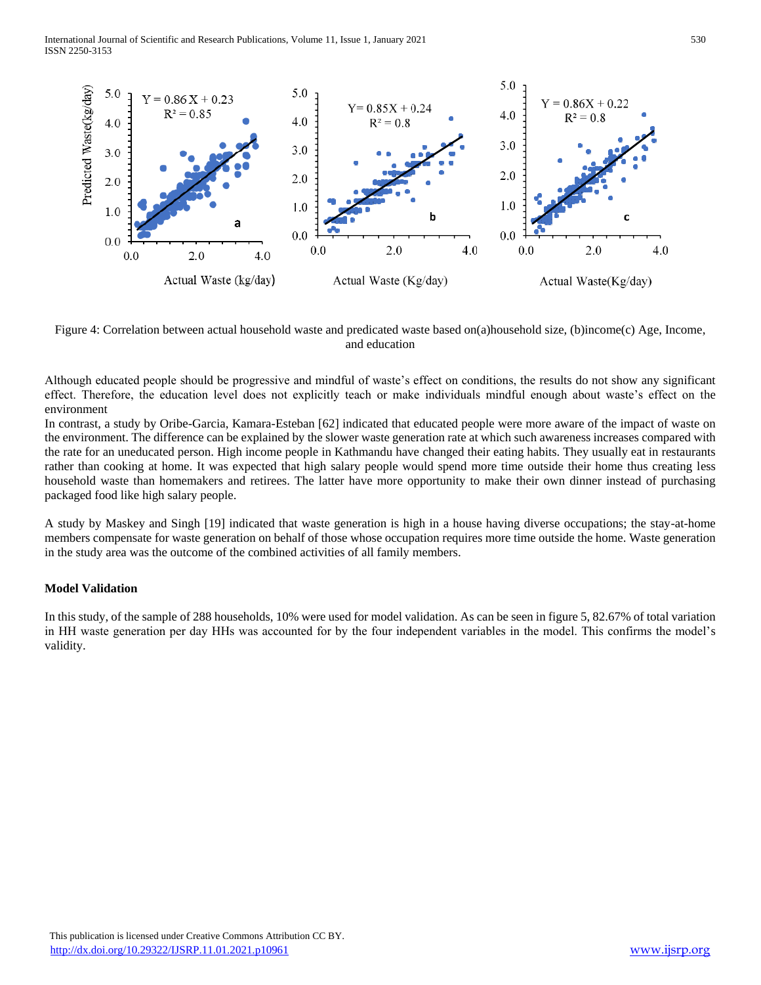

Figure 4: Correlation between actual household waste and predicated waste based on(a)household size, (b)income(c) Age, Income, and education

Although educated people should be progressive and mindful of waste's effect on conditions, the results do not show any significant effect. Therefore, the education level does not explicitly teach or make individuals mindful enough about waste's effect on the environment

In contrast, a study by Oribe-Garcia, Kamara-Esteban [62] indicated that educated people were more aware of the impact of waste on the environment. The difference can be explained by the slower waste generation rate at which such awareness increases compared with the rate for an uneducated person. High income people in Kathmandu have changed their eating habits. They usually eat in restaurants rather than cooking at home. It was expected that high salary people would spend more time outside their home thus creating less household waste than homemakers and retirees. The latter have more opportunity to make their own dinner instead of purchasing packaged food like high salary people.

A study by Maskey and Singh [19] indicated that waste generation is high in a house having diverse occupations; the stay-at-home members compensate for waste generation on behalf of those whose occupation requires more time outside the home. Waste generation in the study area was the outcome of the combined activities of all family members.

## **Model Validation**

In this study, of the sample of 288 households, 10% were used for model validation. As can be seen in figure 5, 82.67% of total variation in HH waste generation per day HHs was accounted for by the four independent variables in the model. This confirms the model's validity.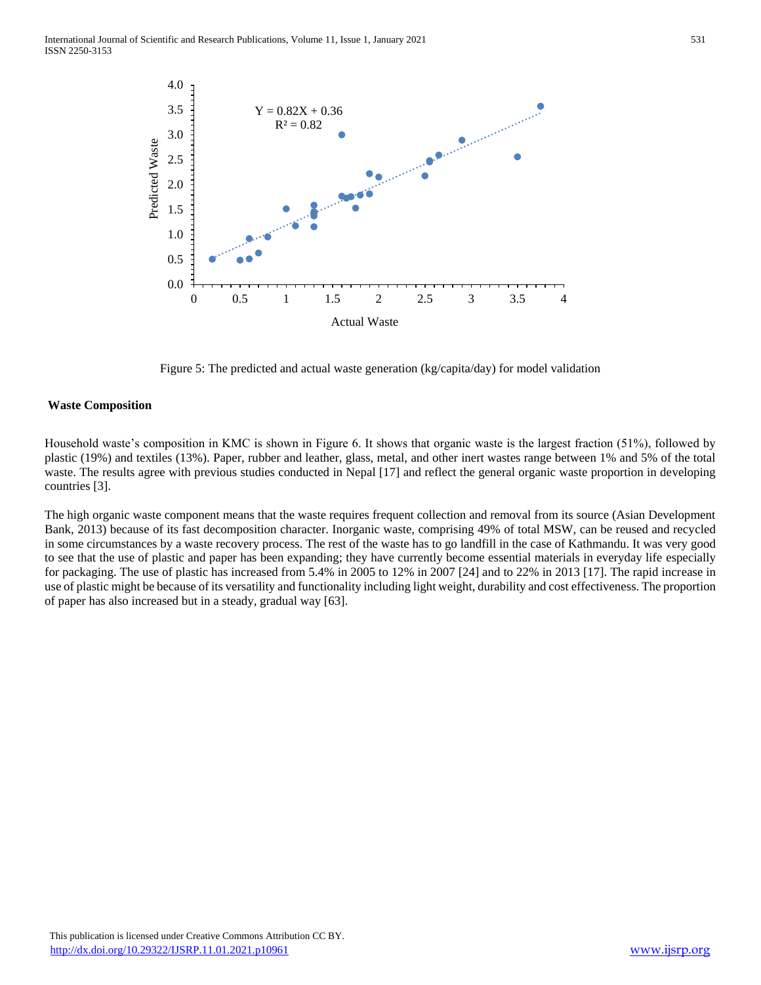

Figure 5: The predicted and actual waste generation (kg/capita/day) for model validation

## **Waste Composition**

Household waste's composition in KMC is shown in Figure 6. It shows that organic waste is the largest fraction (51%), followed by plastic (19%) and textiles (13%). Paper, rubber and leather, glass, metal, and other inert wastes range between 1% and 5% of the total waste. The results agree with previous studies conducted in Nepal [17] and reflect the general organic waste proportion in developing countries [3].

The high organic waste component means that the waste requires frequent collection and removal from its source (Asian Development Bank, 2013) because of its fast decomposition character. Inorganic waste, comprising 49% of total MSW, can be reused and recycled in some circumstances by a waste recovery process. The rest of the waste has to go landfill in the case of Kathmandu. It was very good to see that the use of plastic and paper has been expanding; they have currently become essential materials in everyday life especially for packaging. The use of plastic has increased from 5.4% in 2005 to 12% in 2007 [24] and to 22% in 2013 [17]. The rapid increase in use of plastic might be because of its versatility and functionality including light weight, durability and cost effectiveness. The proportion of paper has also increased but in a steady, gradual way [63].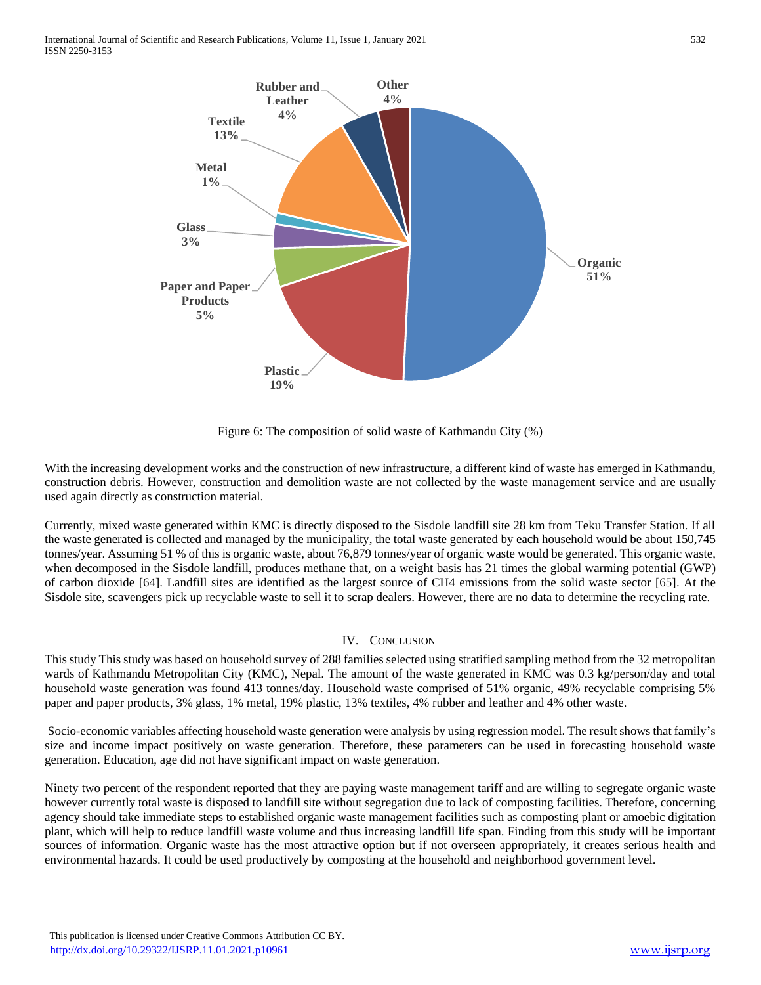

Figure 6: The composition of solid waste of Kathmandu City (%)

With the increasing development works and the construction of new infrastructure, a different kind of waste has emerged in Kathmandu, construction debris. However, construction and demolition waste are not collected by the waste management service and are usually used again directly as construction material.

Currently, mixed waste generated within KMC is directly disposed to the Sisdole landfill site 28 km from Teku Transfer Station. If all the waste generated is collected and managed by the municipality, the total waste generated by each household would be about 150,745 tonnes/year. Assuming 51 % of this is organic waste, about 76,879 tonnes/year of organic waste would be generated. This organic waste, when decomposed in the Sisdole landfill, produces methane that, on a weight basis has 21 times the global warming potential (GWP) of carbon dioxide [64]. Landfill sites are identified as the largest source of CH4 emissions from the solid waste sector [65]. At the Sisdole site, scavengers pick up recyclable waste to sell it to scrap dealers. However, there are no data to determine the recycling rate.

## IV. CONCLUSION

This study This study was based on household survey of 288 families selected using stratified sampling method from the 32 metropolitan wards of Kathmandu Metropolitan City (KMC), Nepal. The amount of the waste generated in KMC was 0.3 kg/person/day and total household waste generation was found 413 tonnes/day. Household waste comprised of 51% organic, 49% recyclable comprising 5% paper and paper products, 3% glass, 1% metal, 19% plastic, 13% textiles, 4% rubber and leather and 4% other waste.

Socio-economic variables affecting household waste generation were analysis by using regression model. The result shows that family's size and income impact positively on waste generation. Therefore, these parameters can be used in forecasting household waste generation. Education, age did not have significant impact on waste generation.

Ninety two percent of the respondent reported that they are paying waste management tariff and are willing to segregate organic waste however currently total waste is disposed to landfill site without segregation due to lack of composting facilities. Therefore, concerning agency should take immediate steps to established organic waste management facilities such as composting plant or amoebic digitation plant, which will help to reduce landfill waste volume and thus increasing landfill life span. Finding from this study will be important sources of information. Organic waste has the most attractive option but if not overseen appropriately, it creates serious health and environmental hazards. It could be used productively by composting at the household and neighborhood government level.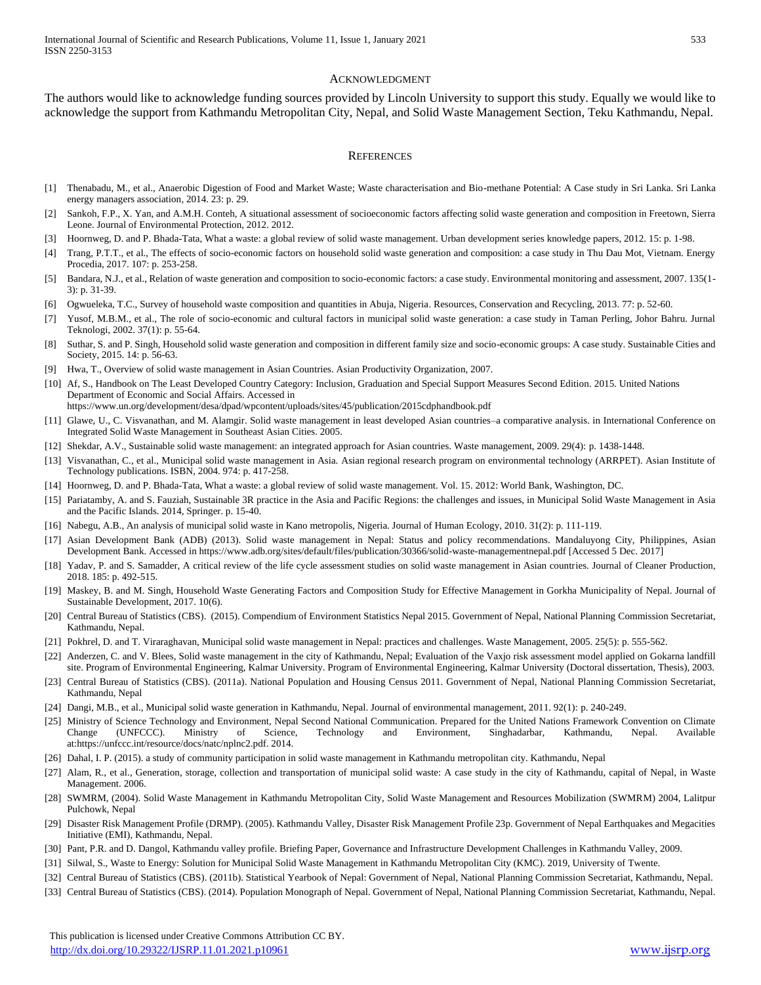#### ACKNOWLEDGMENT

The authors would like to acknowledge funding sources provided by Lincoln University to support this study. Equally we would like to acknowledge the support from Kathmandu Metropolitan City, Nepal, and Solid Waste Management Section, Teku Kathmandu, Nepal.

#### **REFERENCES**

- [1] Thenabadu, M., et al., Anaerobic Digestion of Food and Market Waste; Waste characterisation and Bio-methane Potential: A Case study in Sri Lanka. Sri Lanka energy managers association, 2014. 23: p. 29.
- [2] Sankoh, F.P., X. Yan, and A.M.H. Conteh, A situational assessment of socioeconomic factors affecting solid waste generation and composition in Freetown, Sierra Leone. Journal of Environmental Protection, 2012. 2012.
- [3] Hoornweg, D. and P. Bhada-Tata, What a waste: a global review of solid waste management. Urban development series knowledge papers, 2012. 15: p. 1-98.
- [4] Trang, P.T.T., et al., The effects of socio-economic factors on household solid waste generation and composition: a case study in Thu Dau Mot, Vietnam. Energy Procedia, 2017. 107: p. 253-258.
- [5] Bandara, N.J., et al., Relation of waste generation and composition to socio-economic factors: a case study. Environmental monitoring and assessment, 2007. 135(1- 3): p. 31-39.
- [6] Ogwueleka, T.C., Survey of household waste composition and quantities in Abuja, Nigeria. Resources, Conservation and Recycling, 2013. 77: p. 52-60.
- [7] Yusof, M.B.M., et al., The role of socio-economic and cultural factors in municipal solid waste generation: a case study in Taman Perling, Johor Bahru. Jurnal Teknologi, 2002. 37(1): p. 55-64.
- [8] Suthar, S. and P. Singh, Household solid waste generation and composition in different family size and socio-economic groups: A case study. Sustainable Cities and Society, 2015. 14: p. 56-63.
- [9] Hwa, T., Overview of solid waste management in Asian Countries. Asian Productivity Organization, 2007.
- [10] Af, S., Handbook on The Least Developed Country Category: Inclusion, Graduation and Special Support Measures Second Edition. 2015. United Nations Department of Economic and Social Affairs. Accessed in
- https://www.un.org/development/desa/dpad/wpcontent/uploads/sites/45/publication/2015cdphandbook.pdf
- [11] Glawe, U., C. Visvanathan, and M. Alamgir. Solid waste management in least developed Asian countries–a comparative analysis. in International Conference on Integrated Solid Waste Management in Southeast Asian Cities. 2005.
- [12] Shekdar, A.V., Sustainable solid waste management: an integrated approach for Asian countries. Waste management, 2009. 29(4): p. 1438-1448.
- [13] Visvanathan, C., et al., Municipal solid waste management in Asia. Asian regional research program on environmental technology (ARRPET). Asian Institute of Technology publications. ISBN, 2004. 974: p. 417-258.
- [14] Hoornweg, D. and P. Bhada-Tata, What a waste: a global review of solid waste management. Vol. 15. 2012: World Bank, Washington, DC.
- [15] Pariatamby, A. and S. Fauziah, Sustainable 3R practice in the Asia and Pacific Regions: the challenges and issues, in Municipal Solid Waste Management in Asia and the Pacific Islands. 2014, Springer. p. 15-40.
- [16] Nabegu, A.B., An analysis of municipal solid waste in Kano metropolis, Nigeria. Journal of Human Ecology, 2010. 31(2): p. 111-119.
- [17] Asian Development Bank (ADB) (2013). Solid waste management in Nepal: Status and policy recommendations. Mandaluyong City, Philippines, Asian Development Bank. Accessed in https://www.adb.org/sites/default/files/publication/30366/solid-waste-managementnepal.pdf [Accessed 5 Dec. 2017]
- [18] Yadav, P. and S. Samadder, A critical review of the life cycle assessment studies on solid waste management in Asian countries. Journal of Cleaner Production, 2018. 185: p. 492-515.
- [19] Maskey, B. and M. Singh, Household Waste Generating Factors and Composition Study for Effective Management in Gorkha Municipality of Nepal. Journal of Sustainable Development, 2017. 10(6).
- [20] Central Bureau of Statistics (CBS). (2015). Compendium of Environment Statistics Nepal 2015. Government of Nepal, National Planning Commission Secretariat, Kathmandu, Nepal.
- [21] Pokhrel, D. and T. Viraraghavan, Municipal solid waste management in Nepal: practices and challenges. Waste Management, 2005. 25(5): p. 555-562.
- [22] Anderzen, C. and V. Blees, Solid waste management in the city of Kathmandu, Nepal; Evaluation of the Vaxjo risk assessment model applied on Gokarna landfill site. Program of Environmental Engineering, Kalmar University. Program of Environmental Engineering, Kalmar University (Doctoral dissertation, Thesis), 2003.
- [23] Central Bureau of Statistics (CBS). (2011a). National Population and Housing Census 2011. Government of Nepal, National Planning Commission Secretariat, Kathmandu, Nepal
- [24] Dangi, M.B., et al., Municipal solid waste generation in Kathmandu, Nepal. Journal of environmental management, 2011. 92(1): p. 240-249.
- [25] Ministry of Science Technology and Environment, Nepal Second National Communication. Prepared for the United Nations Framework Convention on Climate<br>Change (UNFCCC). Ministry of Science, Technology and Environment, Si Change (UNFCCC). Ministry of Science, Technology and Environment, Singhadarbar, Kathmandu, Nepal. Available at:https://unfccc.int/resource/docs/natc/nplnc2.pdf. 2014.
- [26] Dahal, I. P. (2015). a study of community participation in solid waste management in Kathmandu metropolitan city. Kathmandu, Nepal
- [27] Alam, R., et al., Generation, storage, collection and transportation of municipal solid waste: A case study in the city of Kathmandu, capital of Nepal, in Waste Management. 2006.
- [28] SWMRM, (2004). Solid Waste Management in Kathmandu Metropolitan City, Solid Waste Management and Resources Mobilization (SWMRM) 2004, Lalitpur Pulchowk, Nepal
- [29] Disaster Risk Management Profile (DRMP). (2005). Kathmandu Valley, Disaster Risk Management Profile 23p. Government of Nepal Earthquakes and Megacities Initiative (EMI), Kathmandu, Nepal.
- [30] Pant, P.R. and D. Dangol, Kathmandu valley profile. Briefing Paper, Governance and Infrastructure Development Challenges in Kathmandu Valley, 2009.
- [31] Silwal, S., Waste to Energy: Solution for Municipal Solid Waste Management in Kathmandu Metropolitan City (KMC). 2019, University of Twente.
- [32] Central Bureau of Statistics (CBS). (2011b). Statistical Yearbook of Nepal: Government of Nepal, National Planning Commission Secretariat, Kathmandu, Nepal.
- [33] Central Bureau of Statistics (CBS). (2014). Population Monograph of Nepal. Government of Nepal, National Planning Commission Secretariat, Kathmandu, Nepal.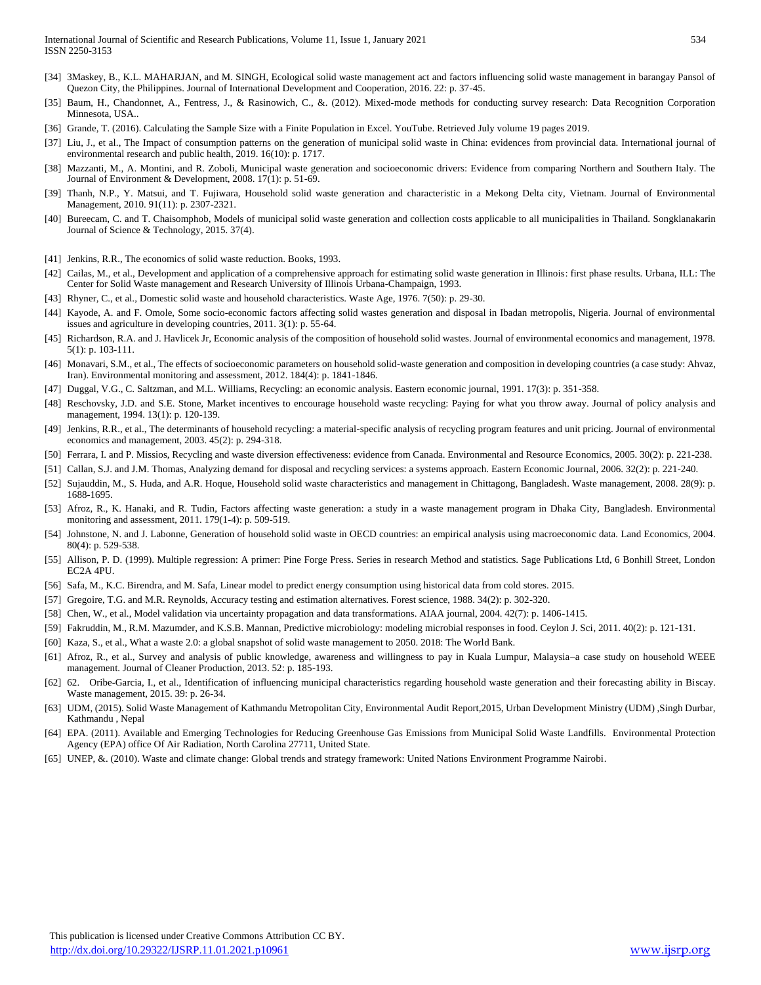- [34] 3Maskey, B., K.L. MAHARJAN, and M. SINGH, Ecological solid waste management act and factors influencing solid waste management in barangay Pansol of Quezon City, the Philippines. Journal of International Development and Cooperation, 2016. 22: p. 37-45.
- [35] Baum, H., Chandonnet, A., Fentress, J., & Rasinowich, C., &. (2012). Mixed-mode methods for conducting survey research: Data Recognition Corporation Minnesota, USA..
- [36] Grande, T. (2016). Calculating the Sample Size with a Finite Population in Excel. YouTube. Retrieved July volume 19 pages 2019.
- [37] Liu, J., et al., The Impact of consumption patterns on the generation of municipal solid waste in China: evidences from provincial data. International journal of environmental research and public health, 2019. 16(10): p. 1717.
- [38] Mazzanti, M., A. Montini, and R. Zoboli, Municipal waste generation and socioeconomic drivers: Evidence from comparing Northern and Southern Italy. The Journal of Environment & Development, 2008. 17(1): p. 51-69.
- [39] Thanh, N.P., Y. Matsui, and T. Fujiwara, Household solid waste generation and characteristic in a Mekong Delta city, Vietnam. Journal of Environmental Management, 2010. 91(11): p. 2307-2321.
- [40] Bureecam, C. and T. Chaisomphob, Models of municipal solid waste generation and collection costs applicable to all municipalities in Thailand. Songklanakarin Journal of Science & Technology, 2015. 37(4).
- [41] Jenkins, R.R., The economics of solid waste reduction. Books, 1993.
- [42] Cailas, M., et al., Development and application of a comprehensive approach for estimating solid waste generation in Illinois: first phase results. Urbana, ILL: The Center for Solid Waste management and Research University of Illinois Urbana-Champaign, 1993.
- [43] Rhyner, C., et al., Domestic solid waste and household characteristics. Waste Age, 1976. 7(50): p. 29-30.
- [44] Kayode, A. and F. Omole, Some socio-economic factors affecting solid wastes generation and disposal in Ibadan metropolis, Nigeria. Journal of environmental issues and agriculture in developing countries, 2011. 3(1): p. 55-64.
- [45] Richardson, R.A. and J. Havlicek Jr, Economic analysis of the composition of household solid wastes. Journal of environmental economics and management, 1978. 5(1): p. 103-111.
- [46] Monavari, S.M., et al., The effects of socioeconomic parameters on household solid-waste generation and composition in developing countries (a case study: Ahvaz, Iran). Environmental monitoring and assessment, 2012. 184(4): p. 1841-1846.
- [47] Duggal, V.G., C. Saltzman, and M.L. Williams, Recycling: an economic analysis. Eastern economic journal, 1991. 17(3): p. 351-358.
- [48] Reschovsky, J.D. and S.E. Stone, Market incentives to encourage household waste recycling: Paying for what you throw away. Journal of policy analysis and management, 1994. 13(1): p. 120-139.
- [49] Jenkins, R.R., et al., The determinants of household recycling: a material-specific analysis of recycling program features and unit pricing. Journal of environmental economics and management, 2003. 45(2): p. 294-318.
- [50] Ferrara, I. and P. Missios, Recycling and waste diversion effectiveness: evidence from Canada. Environmental and Resource Economics, 2005. 30(2): p. 221-238.
- [51] Callan, S.J. and J.M. Thomas, Analyzing demand for disposal and recycling services: a systems approach. Eastern Economic Journal, 2006. 32(2): p. 221-240.
- [52] Sujauddin, M., S. Huda, and A.R. Hoque, Household solid waste characteristics and management in Chittagong, Bangladesh. Waste management, 2008. 28(9): p. 1688-1695.
- [53] Afroz, R., K. Hanaki, and R. Tudin, Factors affecting waste generation: a study in a waste management program in Dhaka City, Bangladesh. Environmental monitoring and assessment, 2011. 179(1-4): p. 509-519.
- [54] Johnstone, N. and J. Labonne, Generation of household solid waste in OECD countries: an empirical analysis using macroeconomic data. Land Economics, 2004. 80(4): p. 529-538.
- [55] Allison, P. D. (1999). Multiple regression: A primer: Pine Forge Press. Series in research Method and statistics. Sage Publications Ltd, 6 Bonhill Street, London EC2A 4PU.
- [56] Safa, M., K.C. Birendra, and M. Safa, Linear model to predict energy consumption using historical data from cold stores. 2015.
- [57] Gregoire, T.G. and M.R. Reynolds, Accuracy testing and estimation alternatives. Forest science, 1988. 34(2): p. 302-320.
- [58] Chen, W., et al., Model validation via uncertainty propagation and data transformations. AIAA journal, 2004. 42(7): p. 1406-1415.
- [59] Fakruddin, M., R.M. Mazumder, and K.S.B. Mannan, Predictive microbiology: modeling microbial responses in food. Ceylon J. Sci, 2011. 40(2): p. 121-131.
- [60] Kaza, S., et al., What a waste 2.0: a global snapshot of solid waste management to 2050. 2018: The World Bank.
- [61] Afroz, R., et al., Survey and analysis of public knowledge, awareness and willingness to pay in Kuala Lumpur, Malaysia–a case study on household WEEE management. Journal of Cleaner Production, 2013. 52: p. 185-193.
- [62] 62. Oribe-Garcia, I., et al., Identification of influencing municipal characteristics regarding household waste generation and their forecasting ability in Biscay. Waste management, 2015. 39: p. 26-34.
- [63] UDM, (2015). Solid Waste Management of Kathmandu Metropolitan City, Environmental Audit Report,2015, Urban Development Ministry (UDM) ,Singh Durbar, Kathmandu , Nepal
- [64] EPA. (2011). Available and Emerging Technologies for Reducing Greenhouse Gas Emissions from Municipal Solid Waste Landfills. Environmental Protection Agency (EPA) office Of Air Radiation, North Carolina 27711, United State.
- [65] UNEP, &. (2010). Waste and climate change: Global trends and strategy framework: United Nations Environment Programme Nairobi.